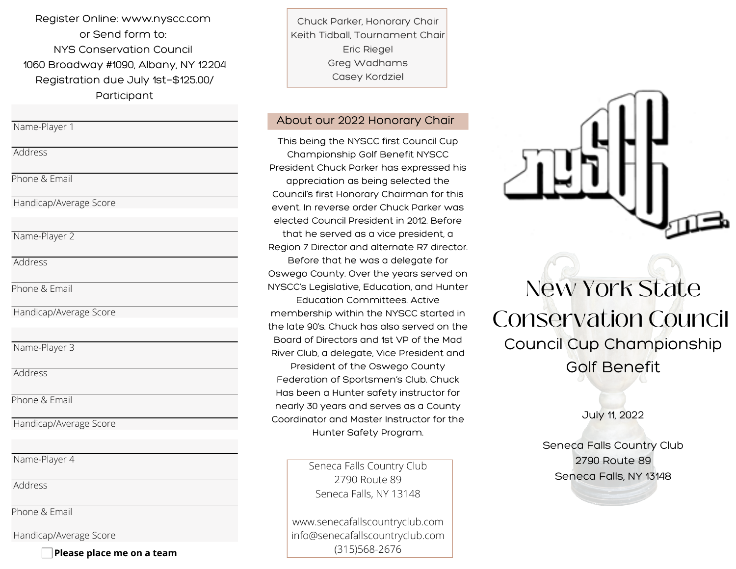Register Online: www.nyscc.com or Send form to: NYS Conservation Council 1060 Broadway #1090, Albany, NY 12204 Registration due July 1st—\$125.00/ Participant

Name-Player 1

**Address** 

Phone & Email

Handicap/Average Score

Name-Player 2

Address

Phone & Email

Handicap/Average Score

Name-Player 3

Address

Phone & Email

Handicap/Average Score

Name-Player 4

Address

Phone & Email

Handicap/Average Score

Chuck Parker, Honorary Chair Keith Tidball, Tournament Chair Eric Riegel Greg Wadhams Casey Kordziel

# About our 2022 Honorary Chair

This being the NYSCC first Council Cup Championship Golf Benefit NYSCC President Chuck Parker has expressed his appreciation as being selected the Council's first Honorary Chairman for this event. In reverse order Chuck Parker was elected Council President in 2012. Before that he served as a vice president, a Region 7 Director and alternate R7 director. Before that he was a delegate for Oswego County. Over the years served on NYSCC's Legislative, Education, and Hunter

Education Committees. Active membership within the NYSCC started in the late 90's. Chuck has also served on the Board of Directors and 1st VP of the Mad River Club, a delegate, Vice President and

President of the Oswego County Federation of Sportsmen's Club. Chuck Has been a Hunter safety instructor for nearly 30 years and serves as a County Coordinator and Master Instructor for the Hunter Safety Program.

> Seneca Falls Country Club 2790 Route 89 Seneca Falls, NY 13148

www.senecafallscountryclub.com info@senecafallscountryclub.com (315)568-2676 **Please place me on <sup>a</sup> team**



New York State Conservation Council Council Cup Championship Golf Benefit

July 11, 2022

Seneca Falls Country Club 2790 Route 89 Seneca Falls, NY 13148